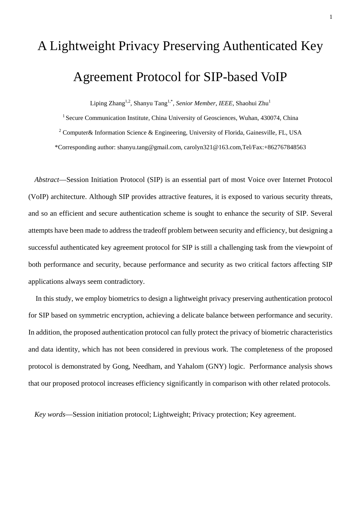# A Lightweight Privacy Preserving Authenticated Key Agreement Protocol for SIP-based VoIP

Liping Zhang<sup>1,2</sup>, Shanyu Tang<sup>1,\*</sup>, *Senior Member*, *IEEE*, Shaohui Zhu<sup>1</sup>

<sup>1</sup> Secure Communication Institute, China University of Geosciences, Wuhan, 430074, China

<sup>2</sup> Computer& Information Science & Engineering, University of Florida, Gainesville, FL, USA

\*Corresponding author: shanyu.tang@gmail.com, carolyn321@163.com,Tel/Fax:+862767848563

*Abstract*—Session Initiation Protocol (SIP) is an essential part of most Voice over Internet Protocol (VoIP) architecture. Although SIP provides attractive features, it is exposed to various security threats, and so an efficient and secure authentication scheme is sought to enhance the security of SIP. Several attempts have been made to address the tradeoff problem between security and efficiency, but designing a successful authenticated key agreement protocol for SIP is still a challenging task from the viewpoint of both performance and security, because performance and security as two critical factors affecting SIP applications always seem contradictory.

In this study, we employ biometrics to design a lightweight privacy preserving authentication protocol for SIP based on symmetric encryption, achieving a delicate balance between performance and security. In addition, the proposed authentication protocol can fully protect the privacy of biometric characteristics and data identity, which has not been considered in previous work. The completeness of the proposed protocol is demonstrated by Gong, Needham, and Yahalom (GNY) logic. Performance analysis shows that our proposed protocol increases efficiency significantly in comparison with other related protocols.

*Key words*—Session initiation protocol; Lightweight; Privacy protection; Key agreement.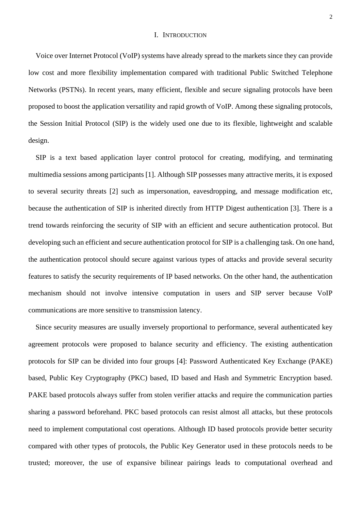#### I. INTRODUCTION

Voice over Internet Protocol (VoIP) systems have already spread to the markets since they can provide low cost and more flexibility implementation compared with traditional Public Switched Telephone Networks (PSTNs). In recent years, many efficient, flexible and secure signaling protocols have been proposed to boost the application versatility and rapid growth of VoIP. Among these signaling protocols, the Session Initial Protocol (SIP) is the widely used one due to its flexible, lightweight and scalable design.

SIP is a text based application layer control protocol for creating, modifying, and terminating multimedia sessions among participants [1]. Although SIP possesses many attractive merits, it is exposed to several security threats [2] such as impersonation, eavesdropping, and message modification etc, because the authentication of SIP is inherited directly from HTTP Digest authentication [3]. There is a trend towards reinforcing the security of SIP with an efficient and secure authentication protocol. But developing such an efficient and secure authentication protocol for SIP is a challenging task. On one hand, the authentication protocol should secure against various types of attacks and provide several security features to satisfy the security requirements of IP based networks. On the other hand, the authentication mechanism should not involve intensive computation in users and SIP server because VoIP communications are more sensitive to transmission latency.

Since security measures are usually inversely proportional to performance, several authenticated key agreement protocols were proposed to balance security and efficiency. The existing authentication protocols for SIP can be divided into four groups [4]: Password Authenticated Key Exchange (PAKE) based, Public Key Cryptography (PKC) based, ID based and Hash and Symmetric Encryption based. PAKE based protocols always suffer from stolen verifier attacks and require the communication parties sharing a password beforehand. PKC based protocols can resist almost all attacks, but these protocols need to implement computational cost operations. Although ID based protocols provide better security compared with other types of protocols, the Public Key Generator used in these protocols needs to be trusted; moreover, the use of expansive bilinear pairings leads to computational overhead and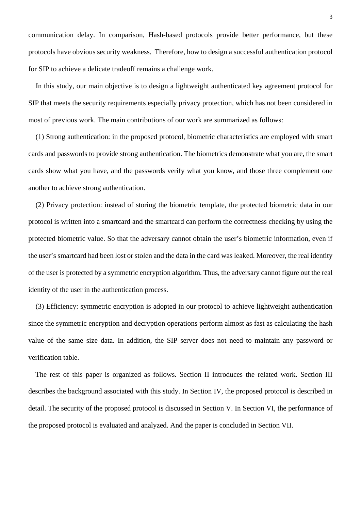communication delay. In comparison, Hash-based protocols provide better performance, but these protocols have obvious security weakness. Therefore, how to design a successful authentication protocol for SIP to achieve a delicate tradeoff remains a challenge work.

In this study, our main objective is to design a lightweight authenticated key agreement protocol for SIP that meets the security requirements especially privacy protection, which has not been considered in most of previous work. The main contributions of our work are summarized as follows:

(1) Strong authentication: in the proposed protocol, biometric characteristics are employed with smart cards and passwords to provide strong authentication. The biometrics demonstrate what you are, the smart cards show what you have, and the passwords verify what you know, and those three complement one another to achieve strong authentication.

(2) Privacy protection: instead of storing the biometric template, the protected biometric data in our protocol is written into a smartcard and the smartcard can perform the correctness checking by using the protected biometric value. So that the adversary cannot obtain the user's biometric information, even if the user's smartcard had been lost or stolen and the data in the card was leaked. Moreover, the real identity of the user is protected by a symmetric encryption algorithm. Thus, the adversary cannot figure out the real identity of the user in the authentication process.

(3) Efficiency: symmetric encryption is adopted in our protocol to achieve lightweight authentication since the symmetric encryption and decryption operations perform almost as fast as calculating the hash value of the same size data. In addition, the SIP server does not need to maintain any password or verification table.

The rest of this paper is organized as follows. Section II introduces the related work. Section III describes the background associated with this study. In Section IV, the proposed protocol is described in detail. The security of the proposed protocol is discussed in Section V. In Section VI, the performance of the proposed protocol is evaluated and analyzed. And the paper is concluded in Section VII.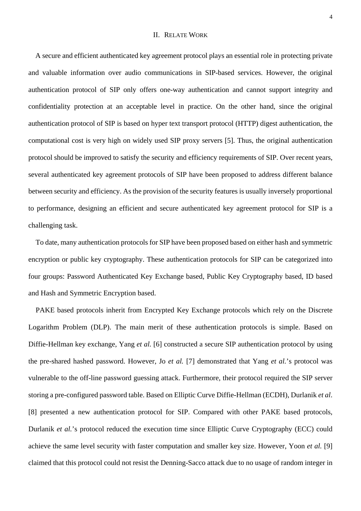#### II. RELATE WORK

A secure and efficient authenticated key agreement protocol plays an essential role in protecting private and valuable information over audio communications in SIP-based services. However, the original authentication protocol of SIP only offers one-way authentication and cannot support integrity and confidentiality protection at an acceptable level in practice. On the other hand, since the original authentication protocol of SIP is based on hyper text transport protocol (HTTP) digest authentication, the computational cost is very high on widely used SIP proxy servers [5]. Thus, the original authentication protocol should be improved to satisfy the security and efficiency requirements of SIP. Over recent years, several authenticated key agreement protocols of SIP have been proposed to address different balance between security and efficiency. As the provision of the security features is usually inversely proportional to performance, designing an efficient and secure authenticated key agreement protocol for SIP is a challenging task.

To date, many authentication protocols for SIP have been proposed based on either hash and symmetric encryption or public key cryptography. These authentication protocols for SIP can be categorized into four groups: Password Authenticated Key Exchange based, Public Key Cryptography based, ID based and Hash and Symmetric Encryption based.

PAKE based protocols inherit from Encrypted Key Exchange protocols which rely on the Discrete Logarithm Problem (DLP). The main merit of these authentication protocols is simple. Based on Diffie-Hellman key exchange, Yang *et al.* [6] constructed a secure SIP authentication protocol by using the pre-shared hashed password. However, Jo *et al.* [7] demonstrated that Yang *et al.*'s protocol was vulnerable to the off-line password guessing attack. Furthermore, their protocol required the SIP server storing a pre-configured password table. Based on Elliptic Curve Diffie-Hellman (ECDH), Durlanik *et al*. [8] presented a new authentication protocol for SIP. Compared with other PAKE based protocols, Durlanik *et al.*'s protocol reduced the execution time since Elliptic Curve Cryptography (ECC) could achieve the same level security with faster computation and smaller key size. However, Yoon *et al.* [9] claimed that this protocol could not resist the Denning-Sacco attack due to no usage of random integer in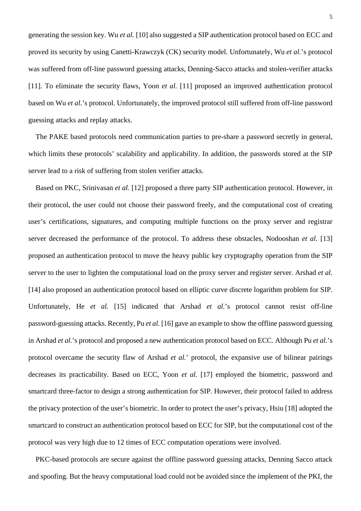generating the session key. Wu *et al.* [10] also suggested a SIP authentication protocol based on ECC and proved its security by using Canetti-Krawczyk (CK) security model. Unfortunately, Wu *et al.*'s protocol was suffered from off-line password guessing attacks, Denning-Sacco attacks and stolen-verifier attacks [11]. To eliminate the security flaws, Yoon *et al.* [11] proposed an improved authentication protocol based on Wu *et al.*'s protocol. Unfortunately, the improved protocol still suffered from off-line password guessing attacks and replay attacks.

The PAKE based protocols need communication parties to pre-share a password secretly in general, which limits these protocols' scalability and applicability. In addition, the passwords stored at the SIP server lead to a risk of suffering from stolen verifier attacks.

Based on PKC, Srinivasan *et al.* [12] proposed a three party SIP authentication protocol. However, in their protocol, the user could not choose their password freely, and the computational cost of creating user's certifications, signatures, and computing multiple functions on the proxy server and registrar server decreased the performance of the protocol. To address these obstacles, Nodooshan *et al.* [13] proposed an authentication protocol to move the heavy public key cryptography operation from the SIP server to the user to lighten the computational load on the proxy server and register server. Arshad *et al.* [14] also proposed an authentication protocol based on elliptic curve discrete logarithm problem for SIP. Unfortunately, He *et al.* [15] indicated that Arshad *et al.*'s protocol cannot resist off-line password-guessing attacks. Recently, Pu *et al.* [16] gave an example to show the offline password guessing in Arshad *et al.*'s protocol and proposed a new authentication protocol based on ECC. Although Pu *et al.*'s protocol overcame the security flaw of Arshad *et al.*' protocol, the expansive use of bilinear pairings decreases its practicability. Based on ECC, Yoon *et al.* [17] employed the biometric, password and smartcard three-factor to design a strong authentication for SIP. However, their protocol failed to address the privacy protection of the user's biometric. In order to protect the user's privacy, Hsiu [18] adopted the smartcard to construct an authentication protocol based on ECC for SIP, but the computational cost of the protocol was very high due to 12 times of ECC computation operations were involved.

PKC-based protocols are secure against the offline password guessing attacks, Denning Sacco attack and spoofing. But the heavy computational load could not be avoided since the implement of the PKI, the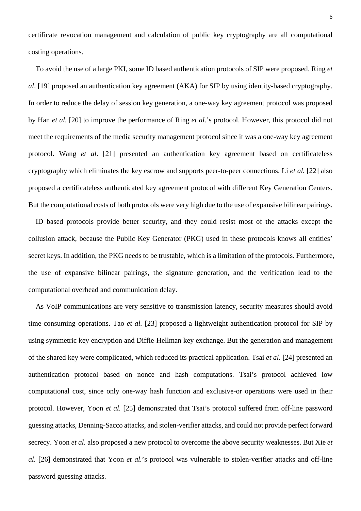certificate revocation management and calculation of public key cryptography are all computational costing operations.

To avoid the use of a large PKI, some ID based authentication protocols of SIP were proposed. Ring *et al*. [19] proposed an authentication key agreement (AKA) for SIP by using identity-based cryptography. In order to reduce the delay of session key generation, a one-way key agreement protocol was proposed by Han *et al.* [20] to improve the performance of Ring *et al*.'s protocol. However, this protocol did not meet the requirements of the media security management protocol since it was a one-way key agreement protocol. Wang *et al*. [21] presented an authentication key agreement based on certificateless cryptography which eliminates the key escrow and supports peer-to-peer connections. Li *et al.* [22] also proposed a certificateless authenticated key agreement protocol with different Key Generation Centers. But the computational costs of both protocols were very high due to the use of expansive bilinear pairings.

ID based protocols provide better security, and they could resist most of the attacks except the collusion attack, because the Public Key Generator (PKG) used in these protocols knows all entities' secret keys. In addition, the PKG needs to be trustable, which is a limitation of the protocols. Furthermore, the use of expansive bilinear pairings, the signature generation, and the verification lead to the computational overhead and communication delay.

As VoIP communications are very sensitive to transmission latency, security measures should avoid time-consuming operations. Tao *et al.* [23] proposed a lightweight authentication protocol for SIP by using symmetric key encryption and Diffie-Hellman key exchange. But the generation and management of the shared key were complicated, which reduced its practical application. Tsai *et al.* [24] presented an authentication protocol based on nonce and hash computations. Tsai's protocol achieved low computational cost, since only one-way hash function and exclusive-or operations were used in their protocol. However, Yoon *et al.* [25] demonstrated that Tsai's protocol suffered from off-line password guessing attacks, Denning-Sacco attacks, and stolen-verifier attacks, and could not provide perfect forward secrecy. Yoon *et al.* also proposed a new protocol to overcome the above security weaknesses. But Xie *et al.* [26] demonstrated that Yoon *et al.*'s protocol was vulnerable to stolen-verifier attacks and off-line password guessing attacks.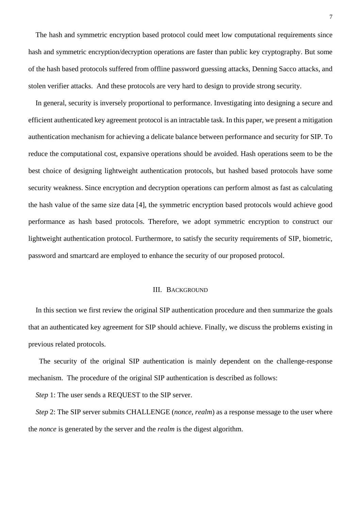The hash and symmetric encryption based protocol could meet low computational requirements since hash and symmetric encryption/decryption operations are faster than public key cryptography. But some of the hash based protocols suffered from offline password guessing attacks, Denning Sacco attacks, and stolen verifier attacks. And these protocols are very hard to design to provide strong security.

In general, security is inversely proportional to performance. Investigating into designing a secure and efficient authenticated key agreement protocol is an intractable task. In this paper, we present a mitigation authentication mechanism for achieving a delicate balance between performance and security for SIP. To reduce the computational cost, expansive operations should be avoided. Hash operations seem to be the best choice of designing lightweight authentication protocols, but hashed based protocols have some security weakness. Since encryption and decryption operations can perform almost as fast as calculating the hash value of the same size data [4], the symmetric encryption based protocols would achieve good performance as hash based protocols. Therefore, we adopt symmetric encryption to construct our lightweight authentication protocol. Furthermore, to satisfy the security requirements of SIP, biometric, password and smartcard are employed to enhance the security of our proposed protocol.

## III. BACKGROUND

In this section we first review the original SIP authentication procedure and then summarize the goals that an authenticated key agreement for SIP should achieve. Finally, we discuss the problems existing in previous related protocols.

 The security of the original SIP authentication is mainly dependent on the challenge-response mechanism. The procedure of the original SIP authentication is described as follows:

*Step* 1: The user sends a REQUEST to the SIP server.

*Step* 2: The SIP server submits CHALLENGE (*nonce*, *realm*) as a response message to the user where the *nonce* is generated by the server and the *realm* is the digest algorithm.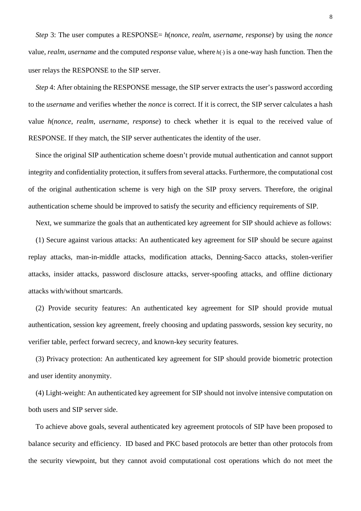*Step* 3: The user computes a RESPONSE= *h*(*nonce*, *realm*, *username*, *response*) by using the *nonce* value, *realm*, *username* and the computed *response* value, where *h*( ) is a one-way hash function. Then the user relays the RESPONSE to the SIP server.

*Step* 4: After obtaining the RESPONSE message, the SIP server extracts the user's password according to the *username* and verifies whether the *nonce* is correct. If it is correct, the SIP server calculates a hash value *h*(*nonce*, *realm*, *username*, *response*) to check whether it is equal to the received value of RESPONSE. If they match, the SIP server authenticates the identity of the user.

Since the original SIP authentication scheme doesn't provide mutual authentication and cannot support integrity and confidentiality protection, it suffers from several attacks. Furthermore, the computational cost of the original authentication scheme is very high on the SIP proxy servers. Therefore, the original authentication scheme should be improved to satisfy the security and efficiency requirements of SIP.

Next, we summarize the goals that an authenticated key agreement for SIP should achieve as follows:

(1) Secure against various attacks: An authenticated key agreement for SIP should be secure against replay attacks, man-in-middle attacks, modification attacks, Denning-Sacco attacks, stolen-verifier attacks, insider attacks, password disclosure attacks, server-spoofing attacks, and offline dictionary attacks with/without smartcards.

(2) Provide security features: An authenticated key agreement for SIP should provide mutual authentication, session key agreement, freely choosing and updating passwords, session key security, no verifier table, perfect forward secrecy, and known-key security features.

(3) Privacy protection: An authenticated key agreement for SIP should provide biometric protection and user identity anonymity.

(4) Light-weight: An authenticated key agreement for SIP should not involve intensive computation on both users and SIP server side.

To achieve above goals, several authenticated key agreement protocols of SIP have been proposed to balance security and efficiency. ID based and PKC based protocols are better than other protocols from the security viewpoint, but they cannot avoid computational cost operations which do not meet the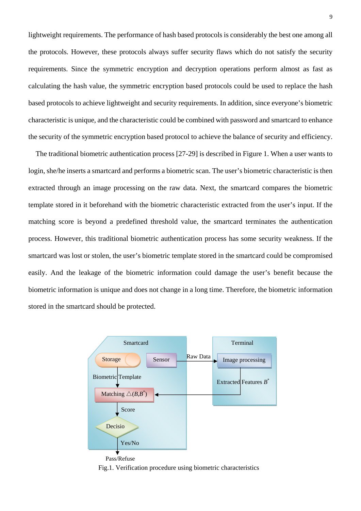lightweight requirements. The performance of hash based protocols is considerably the best one among all the protocols. However, these protocols always suffer security flaws which do not satisfy the security requirements. Since the symmetric encryption and decryption operations perform almost as fast as calculating the hash value, the symmetric encryption based protocols could be used to replace the hash based protocols to achieve lightweight and security requirements. In addition, since everyone's biometric characteristic is unique, and the characteristic could be combined with password and smartcard to enhance the security of the symmetric encryption based protocol to achieve the balance of security and efficiency.

The traditional biometric authentication process [27-29] is described in Figure 1. When a user wants to login, she/he inserts a smartcard and performs a biometric scan. The user's biometric characteristic is then extracted through an image processing on the raw data. Next, the smartcard compares the biometric template stored in it beforehand with the biometric characteristic extracted from the user's input. If the matching score is beyond a predefined threshold value, the smartcard terminates the authentication process. However, this traditional biometric authentication process has some security weakness. If the smartcard was lost or stolen, the user's biometric template stored in the smartcard could be compromised easily. And the leakage of the biometric information could damage the user's benefit because the biometric information is unique and does not change in a long time. Therefore, the biometric information stored in the smartcard should be protected.



Fig.1. Verification procedure using biometric characteristics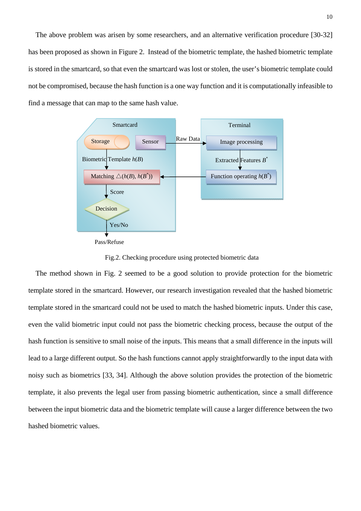The above problem was arisen by some researchers, and an alternative verification procedure [30-32] has been proposed as shown in Figure 2. Instead of the biometric template, the hashed biometric template is stored in the smartcard, so that even the smartcard was lost or stolen, the user's biometric template could not be compromised, because the hash function is a one way function and it is computationally infeasible to find a message that can map to the same hash value.



Pass/Refuse

Fig.2. Checking procedure using protected biometric data

The method shown in Fig. 2 seemed to be a good solution to provide protection for the biometric template stored in the smartcard. However, our research investigation revealed that the hashed biometric template stored in the smartcard could not be used to match the hashed biometric inputs. Under this case, even the valid biometric input could not pass the biometric checking process, because the output of the hash function is sensitive to small noise of the inputs. This means that a small difference in the inputs will lead to a large different output. So the hash functions cannot apply straightforwardly to the input data with noisy such as biometrics [33, 34]. Although the above solution provides the protection of the biometric template, it also prevents the legal user from passing biometric authentication, since a small difference between the input biometric data and the biometric template will cause a larger difference between the two hashed biometric values.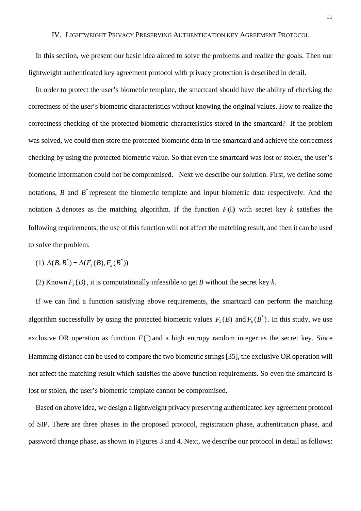#### IV. LIGHTWEIGHT PRIVACY PRESERVING AUTHENTICATION KEY AGREEMENT PROTOCOL

In this section, we present our basic idea aimed to solve the problems and realize the goals. Then our lightweight authenticated key agreement protocol with privacy protection is described in detail.

In order to protect the user's biometric template, the smartcard should have the ability of checking the correctness of the user's biometric characteristics without knowing the original values. How to realize the correctness checking of the protected biometric characteristics stored in the smartcard? If the problem was solved, we could then store the protected biometric data in the smartcard and achieve the correctness checking by using the protected biometric value. So that even the smartcard was lost or stolen, the user's biometric information could not be compromised. Next we describe our solution. First, we define some notations, *B* and  $B^*$  represent the biometric template and input biometric data respectively. And the notation  $\Delta$  denotes as the matching algorithm. If the function  $F(\Box)$  with secret key k satisfies the following requirements, the use of this function will not affect the matching result, and then it can be used to solve the problem.

- (1)  $\Delta(B, B^*) = \Delta(F_k(B), F_k(B^*))$
- (2) Known  $F_k(B)$ , it is computationally infeasible to get *B* without the secret key *k*.

If we can find a function satisfying above requirements, the smartcard can perform the matching algorithm successfully by using the protected biometric values  $F_k(B)$  and  $F_k(B^*)$ . In this study, we use exclusive OR operation as function  $F(\Box)$  and a high entropy random integer as the secret key. Since Hamming distance can be used to compare the two biometric strings [35], the exclusive OR operation will not affect the matching result which satisfies the above function requirements. So even the smartcard is lost or stolen, the user's biometric template cannot be compromised.

Based on above idea, we design a lightweight privacy preserving authenticated key agreement protocol of SIP. There are three phases in the proposed protocol, registration phase, authentication phase, and password change phase, as shown in Figures 3 and 4. Next, we describe our protocol in detail as follows: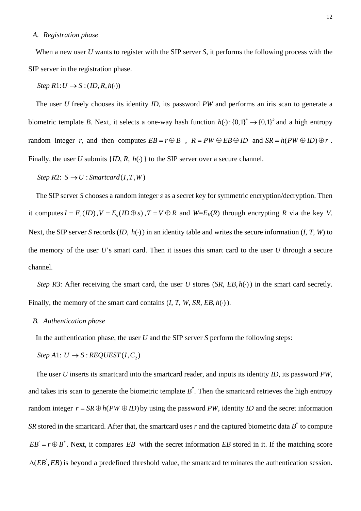#### *A. Registration phase*

When a new user *U* wants to register with the SIP server *S*, it performs the following process with the SIP server in the registration phase.

 $Step R1: U \rightarrow S: (ID, R, h(\cdot))$ 

The user *U* freely chooses its identity *ID*, its password *PW* and performs an iris scan to generate a biometric template *B*. Next, it selects a one-way hash function  $h(\cdot): \{0,1\}^* \to \{0,1\}^k$  and a high entropy random integer *r*, and then computes  $EB = r \oplus B$ ,  $R = PW \oplus EB \oplus ID$  and  $SR = h(PW \oplus ID) \oplus r$ . Finally, the user *U* submits  $\{ID, R, h(\cdot)\}$  to the SIP server over a secure channel.

*Step R2:*  $S \rightarrow U$  *: Smartcard*  $(I, T, W)$ 

The SIP server *S* chooses a random integer *s* as a secret key for symmetric encryption/decryption. Then it computes  $I = E_c(ID)$ ,  $V = E_c(ID \oplus s)$ ,  $T = V \oplus R$  and  $W = E_v(R)$  through encrypting R via the key V. Next, the SIP server *S* records (*ID*,  $h(\cdot)$ ) in an identity table and writes the secure information (*I*, *T*, *W*) to the memory of the user *U*'s smart card. Then it issues this smart card to the user *U* through a secure channel.

*Step R3*: After receiving the smart card, the user *U* stores  $(SR, EB, h(\cdot))$  in the smart card secretly. Finally, the memory of the smart card contains  $(I, T, W, SR, EB, h(\cdot))$ .

## *B. Authentication phase*

In the authentication phase, the user *U* and the SIP server *S* perform the following steps:

Step A1: 
$$
U \rightarrow S : REQUEST(I, C_2)
$$

The user *U* inserts its smartcard into the smartcard reader, and inputs its identity *ID*, its password *PW*, and takes iris scan to generate the biometric template  $B^*$ . Then the smartcard retrieves the high entropy random integer  $r = SR \oplus h(PW \oplus ID)$  by using the password *PW*, identity *ID* and the secret information *SR* stored in the smartcard. After that, the smartcard uses  $r$  and the captured biometric data  $B^*$  to compute  $EB' = r \oplus B^*$ . Next, it compares  $EB'$  with the secret information *EB* stored in it. If the matching score  $\Delta(EB', EB)$  is beyond a predefined threshold value, the smartcard terminates the authentication session.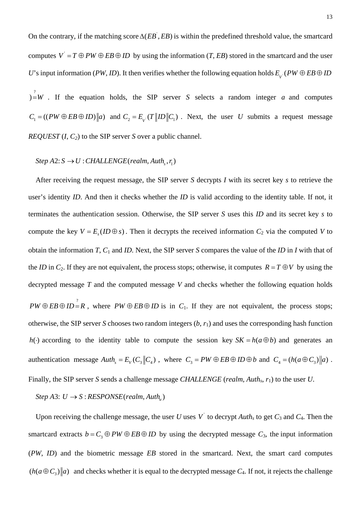On the contrary, if the matching score  $\Delta (EB', EB)$  is within the predefined threshold value, the smartcard computes  $V = T \oplus PW \oplus EB \oplus ID$  by using the information (*T*, *EB*) stored in the smartcard and the user *U*'s input information (*PW*, *ID*). It then verifies whether the following equation holds  $E_V$  (*PW*  $\oplus$  *EB*  $\oplus$  *ID*  $\bigg|_{i=0}^{n}$  if the equation holds, the SIP server *S* selects a random integer *a* and computes  $C_1 = ((PW \oplus EB \oplus ID) \|a)$  and  $C_2 = E_V(T \| ID \|C_1)$ . Next, the user *U* submits a request message *REQUEST* (*I*,  $C_2$ ) to the SIP server *S* over a public channel.

### $Step A2: S \rightarrow U : CHALLENGE (realm, Auth, r<sub>i</sub>)$

After receiving the request message, the SIP server *S* decrypts *I* with its secret key *s* to retrieve the user's identity *ID*. And then it checks whether the *ID* is valid according to the identity table. If not, it terminates the authentication session. Otherwise, the SIP server *S* uses this *ID* and its secret key *s* to compute the key  $V = E_c (ID \oplus s)$ . Then it decrypts the received information  $C_2$  via the computed *V* to obtain the information *T*, *C*<sup>1</sup> and *ID*. Next, the SIP server *S* compares the value of the *ID* in *I* with that of the *ID* in  $C_2$ . If they are not equivalent, the process stops; otherwise, it computes  $R = T \oplus V$  by using the decrypted message *T* and the computed message *V* and checks whether the following equation holds  $PW \oplus EB \oplus ID^2 = R$ , where  $PW \oplus EB \oplus ID$  is in  $C_1$ . If they are not equivalent, the process stops; otherwise, the SIP server *S* chooses two random integers  $(b, r<sub>1</sub>)$  and uses the corresponding hash function  $h(\cdot)$  according to the identity table to compute the session key  $SK = h(a \oplus b)$  and generates an authentication message  $Auth_s = E_v(C_s || C_4)$ , where  $C_s = PW \oplus EB \oplus ID \oplus b$  and  $C_4 = (h(a \oplus C_3) || a)$ . Finally, the SIP server *S* sends a challenge message *CHALLENGE* (*realm*, *Auths*, *r*1) to the user *U*.

 $Step A3: U \rightarrow S: RESPONSE (realm, Auth)$ 

Upon receiving the challenge message, the user *U* uses V to decrypt  $\Delta u$ th<sub>s</sub> to get  $C_3$  and  $C_4$ . Then the smartcard extracts  $b = C_3 \oplus PW \oplus EB \oplus ID$  by using the decrypted message  $C_3$ , the input information (*PW*, *ID*) and the biometric message *EB* stored in the smartcard. Next, the smart card computes  $(h(a \oplus C_3)$  and checks whether it is equal to the decrypted message  $C_4$ . If not, it rejects the challenge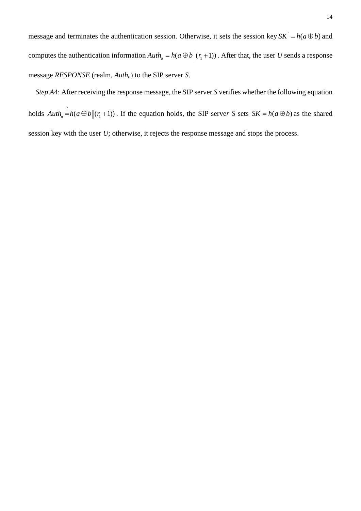message and terminates the authentication session. Otherwise, it sets the session key  $SK' = h(a \oplus b)$  and computes the authentication information  $Auth_u = h(a \oplus b \|(r_1 + 1))$ . After that, the user *U* sends a response message *RESPONSE* (realm, *Authu*) to the SIP server *S*.

*Step A*4: After receiving the response message, the SIP server *S* verifies whether the following equation holds  $Auth_u = h(a \oplus b \|(r_1 + 1))$ . If the equation holds, the SIP server S sets  $SK = h(a \oplus b)$  as the shared session key with the user *U*; otherwise, it rejects the response message and stops the process.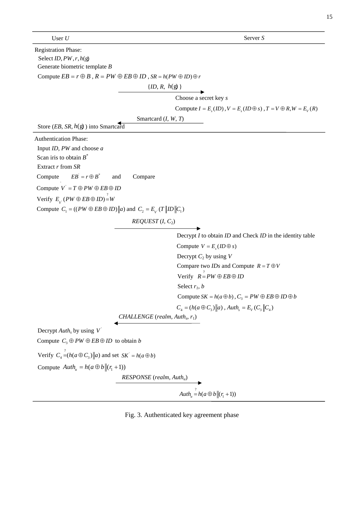*RESPONSE* (*realm*, *Authu*) Compute  $\text{A}uth_u = h(a \oplus b \Vert (r_1 + 1))$ Decrypt  $\text{A}uth_s$  by using  $V$ Select *ID*, *PW*, *r*, *h*(g)  $\{ID, R, h(g)\}$ Registration Phase: Smartcard (*I*, *W*, *T*) Store (*EB*, *SR*, *h*(g) ) into Smartcard Authentication Phase: Input *ID*, *PW* and choose *a* Scan iris to obtain *B*\*  $REQUEST$   $(I, C_2)$ Decrypt  $C_2$  by using  $V$ Compute  $V = E_s (ID \oplus s)$ Compute  $C_3 \oplus PW \oplus EB \oplus ID$  to obtain *b*  $\text{Aut}_{n_{u}} = h(a \oplus b \| (r_{1} + 1))$ Server *S* Compute  $V = T \oplus PW \oplus EB \oplus ID$ Select *r1*, *b* Verify  $C_4 = (h(a \oplus C_3) || a)$  and set  $SK = h(a \oplus b)$ Generate biometric template *B* Compute  $EB = r \oplus B$ ,  $R = PW \oplus EB \oplus ID$ ,  $SR = h(PW \oplus ID) \oplus r$ Verify  $E_V$   $(PW \oplus EB \oplus ID) = W$ Compute  $C_1 = ((PW \oplus EB \oplus ID) \| a)$  and  $C_2 = E_{V} (T \| ID \| C_1)$ *CHALLENGE* (*realm*, *Auths*, *r*1)  $C_4 = (h(a \oplus C_3) || a)$ ,  $Auth_{s} = E_V(C_3 || C_4)$ Extract *r* from *SR* Compute  $EB' = r \oplus B^*$  and Compare Verify  $R = PW \oplus EB \oplus ID$ Decrypt *I* to obtain *ID* and Check *ID* in the identity table Compare two *IDs* and Compute  $R = T \oplus V$ Compute  $I = E_c(ID)$ ,  $V = E_c(ID \oplus s)$ ,  $T = V \oplus R$ ,  $W = E_v(R)$ Choose a secret key *s* Compute  $SK = h(a \oplus b)$ ,  $C_3 = PW \oplus EB \oplus ID \oplus b$ 

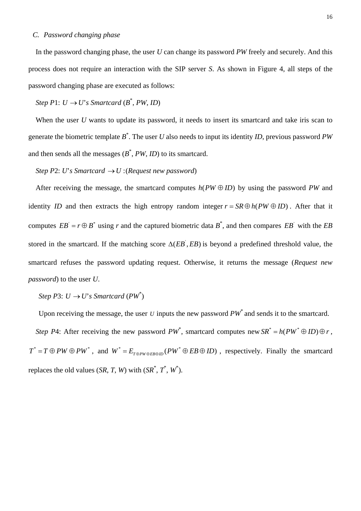#### *C. Password changing phase*

In the password changing phase, the user *U* can change its password *PW* freely and securely. And this process does not require an interaction with the SIP server *S*. As shown in Figure 4, all steps of the password changing phase are executed as follows:

*Step P*1:  $U \rightarrow U$ '*s Smartcard*  $(B^*, PW, ID)$ 

When the user *U* wants to update its password, it needs to insert its smartcard and take iris scan to generate the biometric template *B*\* . The user *U* also needs to input its identity *ID*, previous password *PW* and then sends all the messages  $(B^*, PW, ID)$  to its smartcard.

*Step P2: U's Smartcard*  $\rightarrow$  *U :(Request new password)* 

After receiving the message, the smartcard computes  $h(PW \oplus ID)$  by using the password PW and identity *ID* and then extracts the high entropy random integer  $r = SR \oplus h(PW \oplus ID)$ . After that it computes  $EB' = r \oplus B^*$  using *r* and the captured biometric data  $B^*$ , and then compares  $EB'$  with the  $EB$ stored in the smartcard. If the matching score  $\Delta (EB', EB)$  is beyond a predefined threshold value, the smartcard refuses the password updating request. Otherwise, it returns the message (*Request new password*) to the user *U*.

*Step P3:*  $U \rightarrow U$ *s Smartcard* (*PW*<sup>\*</sup>)

Upon receiving the message, the user  $U$  inputs the new password  $PW^*$  and sends it to the smartcard.

*Step P4*: After receiving the new password  $PW^*$ , smartcard computes new  $SR^* = h(PW^* \oplus ID) \oplus r$ ,  $T^* = T \oplus PW \oplus PW^*$ , and  $W^* = E_{T \oplus PW \oplus EB \oplus ID}(PW^* \oplus EB \oplus ID)$ , respectively. Finally the smartcard replaces the old values (*SR*, *T*, *W*) with (*SR*<sup>\*</sup>, *T*<sup>\*</sup>, *W*<sup>\*</sup>).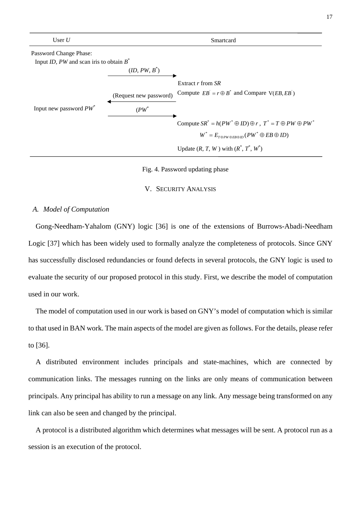

Fig. 4. Password updating phase

#### V. SECURITY ANALYSIS

# *A. Model of Computation*

Gong-Needham-Yahalom (GNY) logic [36] is one of the extensions of Burrows-Abadi-Needham Logic [37] which has been widely used to formally analyze the completeness of protocols. Since GNY has successfully disclosed redundancies or found defects in several protocols, the GNY logic is used to evaluate the security of our proposed protocol in this study. First, we describe the model of computation used in our work.

The model of computation used in our work is based on GNY's model of computation which is similar to that used in BAN work. The main aspects of the model are given as follows. For the details, please refer to [36].

A distributed environment includes principals and state-machines, which are connected by communication links. The messages running on the links are only means of communication between principals. Any principal has ability to run a message on any link. Any message being transformed on any link can also be seen and changed by the principal.

A protocol is a distributed algorithm which determines what messages will be sent. A protocol run as a session is an execution of the protocol.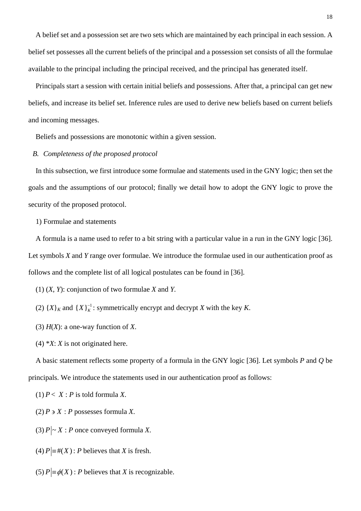A belief set and a possession set are two sets which are maintained by each principal in each session. A belief set possesses all the current beliefs of the principal and a possession set consists of all the formulae available to the principal including the principal received, and the principal has generated itself.

Principals start a session with certain initial beliefs and possessions. After that, a principal can get new beliefs, and increase its belief set. Inference rules are used to derive new beliefs based on current beliefs and incoming messages.

Beliefs and possessions are monotonic within a given session.

# *B. Completeness of the proposed protocol*

In this subsection, we first introduce some formulae and statements used in the GNY logic; then set the goals and the assumptions of our protocol; finally we detail how to adopt the GNY logic to prove the security of the proposed protocol.

1) Formulae and statements

A formula is a name used to refer to a bit string with a particular value in a run in the GNY logic [36]. Let symbols *X* and *Y* range over formulae. We introduce the formulae used in our authentication proof as follows and the complete list of all logical postulates can be found in [36].

(1) (*X*, *Y*): conjunction of two formulae *X* and *Y.*

- (2)  $\{X\}_K$  and  $\{X\}_K^{-1}$ : symmetrically encrypt and decrypt *X* with the key *K*.
- (3) *H*(*X*): a one-way function of *X*.
- (4) \**X*: *X* is not originated here.

A basic statement reflects some property of a formula in the GNY logic [36]. Let symbols *P* and *Q* be principals. We introduce the statements used in our authentication proof as follows:

 $(1)$   $P < X$  :  $P$  is told formula  $X$ .

- (2)  $P \ni X : P$  possesses formula  $X$ .
- (3)  $P \sim X$  : *P* once conveyed formula *X*.
- (4)  $P \equiv \#(X)$ : *P* believes that *X* is fresh.
- (5)  $P \equiv \phi(X)$ : *P* believes that *X* is recognizable.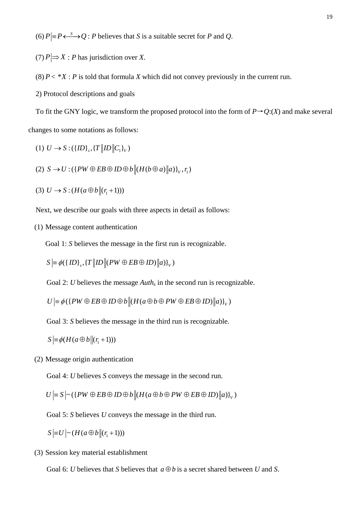- (6)  $P \equiv P \longleftrightarrow Q$ : *P* believes that *S* is a suitable secret for *P* and *Q*.
- (7)  $P \implies X : P$  has jurisdiction over *X*.
- (8)  $P < *X$ : *P* is told that formula *X* which did not convey previously in the current run.

2) Protocol descriptions and goals

To fit the GNY logic, we transform the proposed protocol into the form of  $P \rightarrow Q$ :(*X*) and make several changes to some notations as follows:

- $(1) U \rightarrow S : (\{ID\}, \{T \| ID | C_1\}_V)$
- (2)  $S \rightarrow U : ({\{PW \oplus EB \oplus ID \oplus b \|(H(b \oplus a) \|a)\}}, r_1)$
- (3)  $U \to S : (H(a \oplus b \| (r_1 + 1)))$

Next, we describe our goals with three aspects in detail as follows:

(1) Message content authentication

Goal 1: *S* believes the message in the first run is recognizable.

 $S \equiv \phi({ID}_{s}, {T \| ID \| (PW \oplus EB \oplus ID) \| a)}_{V}$ 

Goal 2: *U* believes the message *Auth<sub>s</sub>* in the second run is recognizable.

 $U \equiv \phi({P}{W} \oplus EB \oplus ID \oplus b \| (H(a \oplus b \oplus PW \oplus EB \oplus ID) \| a) \}_V)$ 

Goal 3: *S* believes the message in the third run is recognizable.

 $S \equiv \phi(H(a \oplus b \parallel (r_1+1)))$ 

(2) Message origin authentication

Goal 4: *U* believes *S* conveys the message in the second run.

$$
U \equiv S \sim (\{PW \oplus EB \oplus ID \oplus b \|(H(a \oplus b \oplus PW \oplus EB \oplus ID)\|a)\}_{V})
$$

Goal 5: *S* believes *U* conveys the message in the third run.

$$
S = U \left| \sim (H(a \oplus b \Vert (r_1 + 1))) \right|
$$

(3) Session key material establishment

Goal 6: *U* believes that *S* believes that  $a \oplus b$  is a secret shared between *U* and *S*.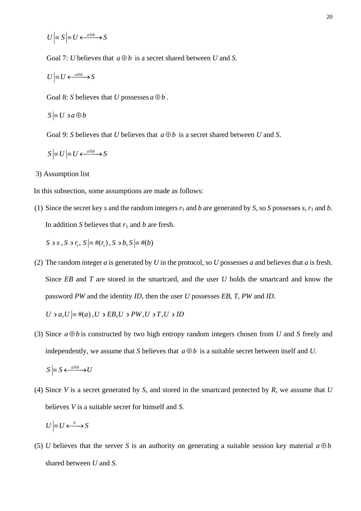$$
U \Big| = S \Big| = U \xleftarrow{a \oplus b} S
$$

Goal 7: *U* believes that  $a \oplus b$  is a secret shared between *U* and *S*.

$$
U \Big| \equiv U \longleftrightarrow^{a \oplus b} S
$$

Goal 8: *S* believes that *U* possesses  $a \oplus b$ .

$$
S \equiv U \ni a \oplus b
$$

Goal 9: *S* believes that *U* believes that  $a \oplus b$  is a secret shared between *U* and *S*.

$$
S \Big| = U \Big| = U \xleftarrow{a \oplus b} S
$$

3) Assumption list

In this subsection, some assumptions are made as follows:

(1) Since the secret key *s* and the random integers *r*1 and *b* are generated by *S*, so *S* possesses *s*, *r*<sup>1</sup> and *b*. In addition *S* believes that  $r_1$  and *b* are fresh.

 $S \ni S, S \ni r_1, S = \#(r_1), S \ni b, S = \#(b)$ 

(2) The random integer *a* is generated by *U* in the protocol, so *U* possesses *a* and believes that *a* is fresh. Since *EB* and *T* are stored in the smartcard, and the user *U* holds the smartcard and know the password *PW* and the identity *ID*, then the user *U* possesses *EB*, *T*, *PW* and *ID*.

$$
U \ni a, U \models \#(a), U \ni EB, U \ni PW, U \ni T, U \ni ID
$$

- (3) Since  $a \oplus b$  is constructed by two high entropy random integers chosen from *U* and *S* freely and independently, we assume that *S* believes that  $a \oplus b$  is a suitable secret between itself and *U*.  $S \equiv S \leftarrow \xrightarrow{a \oplus b} U$
- (4) Since *V* is a secret generated by *S*, and stored in the smartcard protected by *R*, we assume that *U* believes *V* is a suitable secret for himself and *S*.

$$
U \Big| = U \longleftrightarrow^V S
$$

(5) *U* believes that the server *S* is an authority on generating a suitable session key material  $a \oplus b$ shared between *U* and *S*.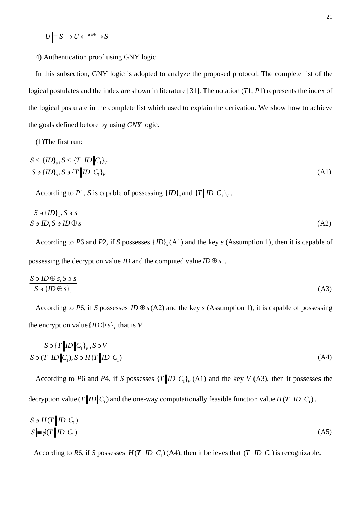$$
U \models S \middle| \Rightarrow U \leftarrow \xrightarrow{a \oplus b} S
$$

4) Authentication proof using GNY logic

In this subsection, GNY logic is adopted to analyze the proposed protocol. The complete list of the logical postulates and the index are shown in literature [31]. The notation (*T*1, *P*1) represents the index of the logical postulate in the complete list which used to explain the derivation. We show how to achieve the goals defined before by using *GNY* logic.

(1)The first run:

$$
S < {ID}_{s}, S < {T || D || C_{1}}_{V}
$$
  
\n
$$
S \ni {ID}_{s}, S \ni {T || D || C_{1}}_{V}
$$
  
\n(A1)

According to *P*1, *S* is capable of possessing  ${ID}$ , and  ${T||D||C_1}_v$ .

$$
S \ni \{ID\}, S \ni s
$$
  
\n
$$
S \ni ID, S \ni ID \oplus s
$$
 (A2)

According to P6 and P2, if *S* possesses  ${ID}$ ,  $(A1)$  and the key *s* (Assumption 1), then it is capable of possessing the decryption value *ID* and the computed value  $ID \oplus s$ .

$$
\frac{S \ni ID \oplus s, S \ni s}{S \ni \{ID \oplus s\}}\tag{A3}
$$

According to P6, if *S* possesses  $ID \oplus s(A2)$  and the key *s* (Assumption 1), it is capable of possessing the encryption value  ${ID \oplus s}$  that is *V*.

$$
S \ni \{T \mid ID \mid C_1\}, S \ni V
$$
  
\n
$$
S \ni \{T \mid ID \mid C_1\}, S \ni H \{T \mid ID \mid C_1\}
$$
  
\n(A4)

According to P6 and P4, if *S* possesses  $\{T \| ID \| C_1\}_V$  (A1) and the key *V* (A3), then it possesses the decryption value  $(T \| ID \| C_1)$  and the one-way computationally feasible function value  $H(T \| ID \| C_1)$ .

$$
S \ni H(T \parallel ID \parallel C_1)
$$
  
\n
$$
S \equiv \phi(T \parallel ID \parallel C_1)
$$
\n(A5)

According to *R*6, if *S* possesses  $H(T||ID||C_1)(A4)$ , then it believes that  $(T||ID||C_1)$  is recognizable.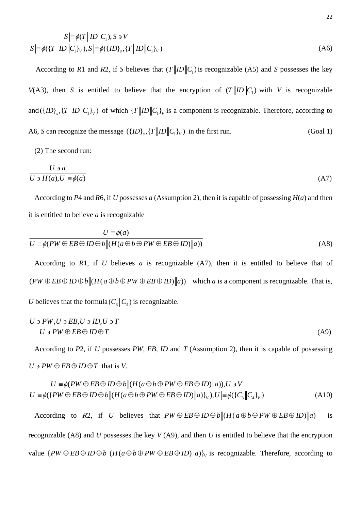$$
S \ge \phi(T \| ID \| C_1), S \ni V
$$
  

$$
S \ge \phi(\{T \| ID \| C_1\}_V), S \ge \phi(\{ID\}_s, \{T \| ID \| C_1\}_V)
$$
 (A6)

According to *R*1 and *R*2, if *S* believes that  $(T||ID||C_1)$  is recognizable (A5) and *S* possesses the key *V*(A3), then *S* is entitled to believe that the encryption of  $(T \| ID \| C_1)$  with *V* is recognizable and  $({ID}_{s}, {T} || ID || C_{1} {V}_{v})$  of which  ${T} || ID || C_{1} {V}_{v}$  is a component is recognizable. Therefore, according to A6, *S* can recognize the message  $({ID}_{s}, {T} || ID || C_{1} {V}_{V})$  in the first run. (Goal 1)

(2) The second run:

$$
\frac{U \ni a}{U \ni H(a), U \neq \phi(a)} \tag{A7}
$$

According to *P*4 and *R*6, if *U* possesses *a* (Assumption 2), then it is capable of possessing *H*(*a*) and then it is entitled to believe *a* is recognizable

$$
U = \phi(a)
$$
  

$$
U = \phi(PW \oplus EB \oplus ID \oplus b \parallel (H(a \oplus b \oplus PW \oplus EB \oplus ID) \parallel a))
$$
 (A8)

According to *R*1, if *U* believes *a* is recognizable (A7), then it is entitled to believe that of  $(PW \oplus EB \oplus ID \oplus b \|(H(a \oplus b \oplus PW \oplus EB \oplus ID)\|a))$  which *a* is a component is recognizable. That is, *U* believes that the formula  $(C_3 || C_4)$  is recognizable.

$$
\frac{U \ni PW, U \ni EB, U \ni ID, U \ni T}{U \ni PW \oplus EB \oplus ID \oplus T}
$$
\n(A9)

According to *P*2, if *U* possesses *PW*, *EB*, *ID* and *T* (Assumption 2), then it is capable of possessing  $U \ni PW \oplus EB \oplus ID \oplus T$  that is *V*.

$$
U = \phi(PW \oplus EB \oplus ID \oplus b \parallel (H(a \oplus b \oplus PW \oplus EB \oplus ID) \parallel a)), U \ni V
$$
  

$$
U = \phi(\{PW \oplus EB \oplus ID \oplus b \parallel (H(a \oplus b \oplus PW \oplus EB \oplus ID) \parallel a)\}, U \models \phi(\{C_3 \parallel C_4\}, V)
$$
(A10)

According to *R*2, if *U* believes that  $PW \oplus EB \oplus ID \oplus b \|(H(a \oplus b \oplus PW \oplus EB \oplus ID)\|a)$  is recognizable (A8) and *U* possesses the key *V* (A9), and then *U* is entitled to believe that the encryption value  $\{PW \oplus EB \oplus ID \oplus b \|(H(a \oplus b \oplus PW \oplus EB \oplus ID)\|a)\}_{V}$  is recognizable. Therefore, according to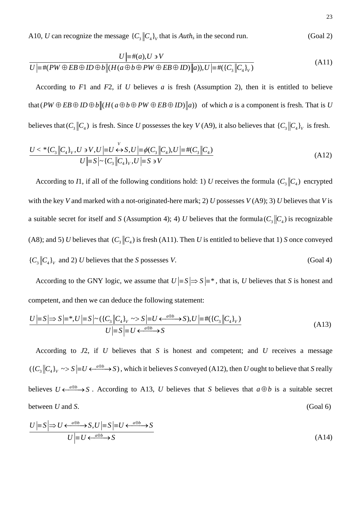A10, *U* can recognize the message  $\{C_3 \mid C_4\}_V$  that is *Auth<sub>s</sub>* in the second run. (Goal 2)

$$
U \Big| \equiv \#(a), U \ni V
$$
  

$$
U \Big| \equiv \#(PW \oplus EB \oplus ID \oplus b \Big| \Big| (H(a \oplus b \oplus PW \oplus EB \oplus ID) \Big| a \Big|), U \Big| \equiv \#(\{C_3 \Big| C_4\}_V)
$$
(A11)

According to *F*1 and *F*2, if *U* believes *a* is fresh (Assumption 2), then it is entitled to believe that  $(PW \oplus EB \oplus ID \oplus b \|(H(a \oplus b \oplus PW \oplus EB \oplus ID)\|a)$  of which *a* is a component is fresh. That is *U* believes that  $(C_3 || C_4)$  is fresh. Since *U* possesses the key *V* (A9), it also believes that  $\{C_3 || C_4\}_v$  is fresh.

$$
\frac{U < {}^{*}\{C_{3}\|C_{4}\}_{V}, U \ni V, U \mid \equiv U \stackrel{V}{\leftrightarrow} S, U \mid \equiv \phi(C_{3}\|C_{4}), U \mid \equiv \#(C_{3}\|C_{4})}{U \mid \equiv S \mid {\sim} \{C_{3}\|C_{4}\}_{V}, U \mid \equiv S \ni V}
$$
\n(A12)

According to *I*1, if all of the following conditions hold: 1) *U* receives the formula  $(C_3 \| C_4)$  encrypted with the key *V* and marked with a not-originated-here mark; 2) *U* possesses *V* (A9); 3) *U* believes that *V* is a suitable secret for itself and *S* (Assumption 4); 4) *U* believes that the formula  $(C_3 || C_4)$  is recognizable (A8); and 5) *U* believes that  $(C_3 || C_4)$  is fresh (A11). Then *U* is entitled to believe that 1) *S* once conveyed  ${C_3 \| C_4}_V$  and 2) *U* believes that the *S* possesses *V*. (Goal 4)

According to the GNY logic, we assume that  $U = S \Rightarrow S =$ <sup>\*</sup>, that is, *U* believes that *S* is honest and competent, and then we can deduce the following statement:

$$
\frac{U| \equiv S | \Longrightarrow S | \equiv^*, U | \equiv S | \sim (\{C_3 \| C_4\}_V \sim S | \equiv U \leftarrow^{\text{a} \oplus b} S), U | \equiv # (\{C_3 \| C_4\}_V)}{U | \equiv S | \equiv U \leftarrow^{\text{a} \oplus b} S}
$$
\n(A13)

According to *J*2, if *U* believes that *S* is honest and competent; and *U* receives a message  $({C_3 || C_4}_V \sim S = U \leftarrow \text{a} \oplus b \rightarrow S)$ , which it believes *S* conveyed (A12), then *U* ought to believe that *S* really believes  $U \leftarrow a \oplus b \rightarrow S$ . According to A13, *U* believes that *S* believes that  $a \oplus b$  is a suitable secret between *U* and *S*. (Goal 6)

$$
\frac{U| \equiv S | \Longrightarrow U \longleftrightarrow S, U| \equiv S | \equiv U \longleftrightarrow S}{U | \equiv U \longleftrightarrow S} \tag{A14}
$$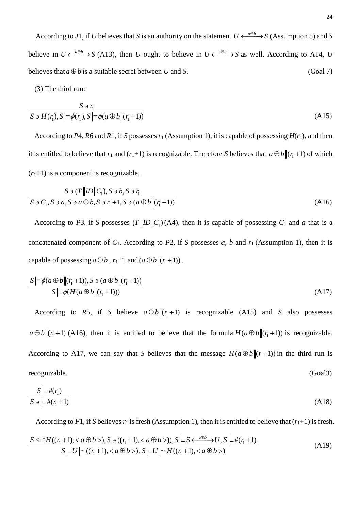According to *J*1, if *U* believes that *S* is an authority on the statement  $U \leftarrow a^{a \oplus b} S$  (Assumption 5) and *S* believe in  $U \leftarrow^{\alpha \oplus b} S$  (A13), then *U* ought to believe in  $U \leftarrow^{\alpha \oplus b} S$  as well. According to A14, *U* believes that  $a \oplus b$  is a suitable secret between *U* and *S*. (Goal 7)

(3) The third run:

$$
\frac{S \ni r_1}{S \ni H(r_1), S \middle| \equiv \phi(r_1), S \middle| \equiv \phi(a \bigoplus b \big( | (r_1 + 1)) \big)} \tag{A15}
$$

According to P4, R6 and R1, if *S* possesses  $r_1$  (Assumption 1), it is capable of possessing  $H(r_1)$ , and then it is entitled to believe that  $r_1$  and  $(r_1+1)$  is recognizable. Therefore *S* believes that  $a \oplus b \|(r_1+1)$  of which  $(r_1+1)$  is a component is recognizable.

$$
S \ni (T||ID||C1), S \ni b, S \ni r1
$$
  
\n
$$
S \ni C1, S \ni a, S \ni a \oplus b, S \ni r1 + 1, S \ni (a \oplus b||(r1 + 1))
$$
 (A16)

According to P3, if *S* possesses  $(T \| ID \| C_1)$  (A4), then it is capable of possessing  $C_1$  and *a* that is a concatenated component of  $C_1$ . According to P2, if *S* possesses *a*, *b* and  $r_1$  (Assumption 1), then it is capable of possessing  $a \oplus b$ ,  $r_1+1$  and  $(a \oplus b \Vert (r_1+1))$ .

$$
S \geq \phi(a \oplus b \parallel (r_1 + 1)), S \ni (a \oplus b \parallel (r_1 + 1))
$$
  

$$
S \geq \phi(H(a \oplus b \parallel (r_1 + 1)))
$$
 (A17)

According to R5, if *S* believe  $a \oplus b \|(r_1 + 1)$  is recognizable (A15) and *S* also possesses  $a \oplus b \|(r_1 + 1)$  (A16), then it is entitled to believe that the formula  $H(a \oplus b \|(r_1 + 1))$  is recognizable. According to A17, we can say that *S* believes that the message  $H(a \oplus b \|(r+1))$  in the third run is recognizable. (Goal3)

$$
\frac{S\left|\equiv\#(r_1)}{S\,\Im\left|\equiv\#(r_1+1)\right.}\tag{A18}
$$

According to *F*1, if *S* believes  $r_1$  is fresh (Assumption 1), then it is entitled to believe that  $(r_1+1)$  is fresh.

$$
\frac{S \lt^* H((r_1 + 1), < a \oplus b >), S \ni ((r_1 + 1), < a \oplus b >)), S \mid \equiv S \leftarrow \stackrel{a \oplus b}{\lt \to} U, S \mid \equiv \#(r_1 + 1) \quad S \mid \equiv U \mid \sim ((r_1 + 1), < a \oplus b >), S \mid \equiv U \mid \sim H((r_1 + 1), < a \oplus b >))
$$
\n(A19)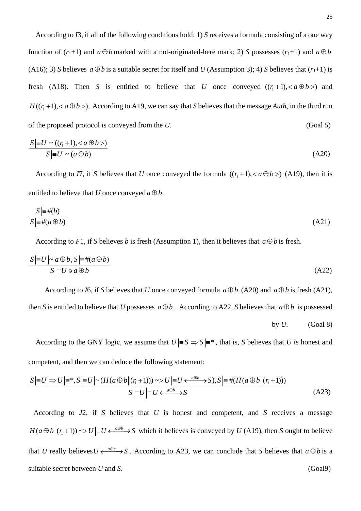According to *I*3, if all of the following conditions hold: 1) *S* receives a formula consisting of a one way function of  $(r_1+1)$  and  $a \oplus b$  marked with a not-originated-here mark; 2) *S* possesses  $(r_1+1)$  and  $a \oplus b$ (A16); 3) *S* believes  $a \oplus b$  is a suitable secret for itself and *U* (Assumption 3); 4) *S* believes that  $(r_1+1)$  is fresh (A18). Then *S* is entitled to believe that *U* once conveyed  $((r_1+1), *a* \oplus *b*)$  and  $H((r_1+1), *a* \oplus *b*)$ . According to A19, we can say that *S* believes that the message *Auth<sub>s</sub>* in the third run of the proposed protocol is conveyed from the *U*. (Goal 5)

$$
\frac{S\left|\equiv U\right| \sim ((r_1+1), < a \oplus b >)}{S\left|\equiv U\right| \sim (a \oplus b)}\tag{A20}
$$

According to *I*7, if *S* believes that *U* once conveyed the formula  $((r_1 + 1), *a* \oplus *b*)$  (A19), then it is entitled to believe that *U* once conveyed  $a \oplus b$ .

$$
S \equiv \#(b) \nS \equiv \#(a \oplus b)
$$
\n(A21)

According to F1, if *S* believes *b* is fresh (Assumption 1), then it believes that  $a \oplus b$  is fresh.

$$
S \equiv U \sim a \oplus b, S \equiv \#(a \oplus b)
$$
  

$$
S \equiv U \ni a \oplus b
$$
 (A22)

According to *I*6, if *S* believes that *U* once conveyed formula  $a \oplus b$  (A20) and  $a \oplus b$  is fresh (A21), then *S* is entitled to believe that *U* possesses  $a \oplus b$ . According to A22, *S* believes that  $a \oplus b$  is possessed by *U*. (Goal 8)

According to the GNY logic, we assume that  $U = S \Rightarrow S =^*$ , that is, *S* believes that *U* is honest and competent, and then we can deduce the following statement:

$$
\frac{S|=U| \Rightarrow U|=\ast, S|=U| \sim (H(a \oplus b|(r_1+1))) \sim U| = U \leftarrow^{\text{a} \oplus \text{b}} S, S| = \#(H(a \oplus b|(r_1+1)))}{S| = U| \leftarrow^{\text{a} \oplus \text{b}} S}
$$
\n(A23)

According to *J*2, if *S* believes that *U* is honest and competent, and *S* receives a message  $H(a \oplus b \|(r_1+1)) \sim U \neq b \stackrel{a \oplus b}{\longrightarrow} S$  which it believes is conveyed by *U* (A19), then *S* ought to believe that *U* really believes  $U \leftarrow a \oplus b \rightarrow S$ . According to A23, we can conclude that *S* believes that  $a \oplus b$  is a suitable secret between *U* and *S*. (Goal9)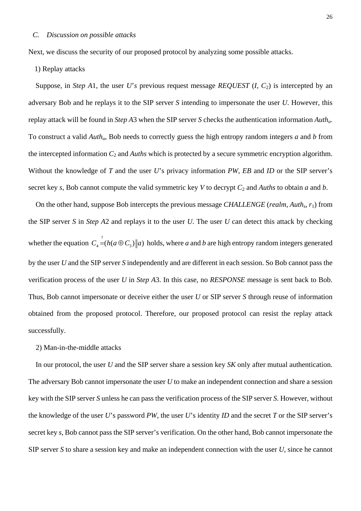Next, we discuss the security of our proposed protocol by analyzing some possible attacks.

1) Replay attacks

Suppose, in *Step A*1, the user *U*'s previous request message *REQUEST*  $(I, C_2)$  is intercepted by an adversary Bob and he replays it to the SIP server *S* intending to impersonate the user *U*. However, this replay attack will be found in *Step A*3 when the SIP server *S* checks the authentication information *Authu*. To construct a valid *Authu*, Bob needs to correctly guess the high entropy random integers *a* and *b* from the intercepted information *C*2 and *Auths* which is protected by a secure symmetric encryption algorithm. Without the knowledge of *T* and the user *U*'s privacy information *PW*, *EB* and *ID* or the SIP server's secret key *s*, Bob cannot compute the valid symmetric key *V* to decrypt *C*2 and *Auths* to obtain *a* and *b*.

On the other hand, suppose Bob intercepts the previous message *CHALLENGE* (*realm*, *Auths*, *r*1) from the SIP server *S* in *Step A*2 and replays it to the user *U*. The user *U* can detect this attack by checking whether the equation  $C_4 = (h(a \oplus C_3) || a)$  holds, where *a* and *b* are high entropy random integers generated by the user *U* and the SIP server *S* independently and are different in each session. So Bob cannot pass the verification process of the user *U* in *Step A*3. In this case, no *RESPONSE* message is sent back to Bob. Thus, Bob cannot impersonate or deceive either the user *U* or SIP server *S* through reuse of information obtained from the proposed protocol. Therefore, our proposed protocol can resist the replay attack successfully.

#### 2) Man-in-the-middle attacks

In our protocol, the user *U* and the SIP server share a session key *SK* only after mutual authentication. The adversary Bob cannot impersonate the user *U* to make an independent connection and share a session key with the SIP server *S* unless he can pass the verification process of the SIP server *S*. However, without the knowledge of the user *U*'s password *PW*, the user *U*'s identity *ID* and the secret *T* or the SIP server's secret key *s*, Bob cannot pass the SIP server's verification. On the other hand, Bob cannot impersonate the SIP server *S* to share a session key and make an independent connection with the user *U*, since he cannot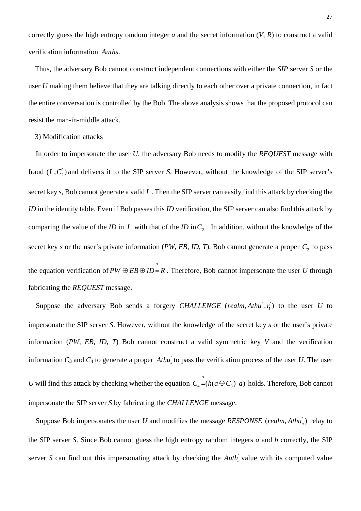correctly guess the high entropy random integer  $a$  and the secret information  $(V, R)$  to construct a valid verification information *Auths*.

Thus, the adversary Bob cannot construct independent connections with either the *SIP* server *S* or the user *U* making them believe that they are talking directly to each other over a private connection, in fact the entire conversation is controlled by the Bob. The above analysis shows that the proposed protocol can resist the man-in-middle attack.

## 3) Modification attacks

In order to impersonate the user *U*, the adversary Bob needs to modify the *REQUEST* message with fraud  $(I', C_2')$  and delivers it to the SIP server *S*. However, without the knowledge of the SIP server's secret key *s*, Bob cannot generate a valid I<sup>'</sup>. Then the SIP server can easily find this attack by checking the *ID* in the identity table. Even if Bob passes this *ID* verification, the SIP server can also find this attack by comparing the value of the *ID* in  $I'$  with that of the *ID* in  $C_2'$ . In addition, without the knowledge of the secret key *s* or the user's private information (*PW*, *EB*, *ID*, *T*), Bob cannot generate a proper  $C_2$  to pass the equation verification of  $PW \oplus EB \oplus ID = R$ . Therefore, Bob cannot impersonate the user *U* through fabricating the *REQUEST* message.

Suppose the adversary Bob sends a forgery *CHALLENGE* (*realm, Athu*<sub>s</sub>,  $r_1$ ) to the user *U* to impersonate the SIP server *S*. However, without the knowledge of the secret key *s* or the user's private information (*PW*, *EB*, *ID*, *T*) Bob cannot construct a valid symmetric key *V* and the verification information  $C_3$  and  $C_4$  to generate a proper  $Athu<sub>s</sub>$  to pass the verification process of the user *U*. The user *U* will find this attack by checking whether the equation  $C_4 = (h(a \oplus C_3) || a)$  holds. Therefore, Bob cannot impersonate the SIP server *S* by fabricating the *CHALLENGE* message.

Suppose Bob impersonates the user *U* and modifies the message *RESPONSE* (*realm, Athu*<sub>n</sub>) relay to the SIP server *S*. Since Bob cannot guess the high entropy random integers *a* and *b* correctly, the SIP server *S* can find out this impersonating attack by checking the  $\text{Aut } h_u$  value with its computed value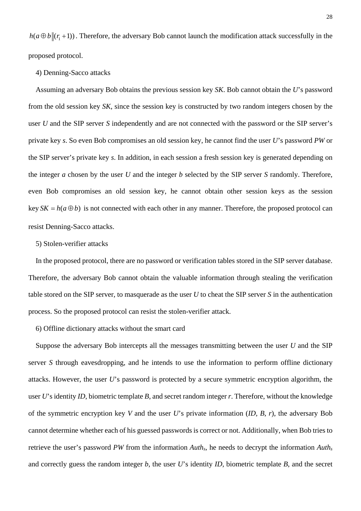$h(a \oplus b \|(r_1 + 1))$ . Therefore, the adversary Bob cannot launch the modification attack successfully in the proposed protocol.

## 4) Denning-Sacco attacks

Assuming an adversary Bob obtains the previous session key *SK*. Bob cannot obtain the *U*'s password from the old session key *SK*, since the session key is constructed by two random integers chosen by the user *U* and the SIP server *S* independently and are not connected with the password or the SIP server's private key *s*. So even Bob compromises an old session key, he cannot find the user *U*'s password *PW* or the SIP server's private key *s*. In addition, in each session a fresh session key is generated depending on the integer *a* chosen by the user *U* and the integer *b* selected by the SIP server *S* randomly. Therefore, even Bob compromises an old session key, he cannot obtain other session keys as the session key  $SK = h(a \oplus b)$  is not connected with each other in any manner. Therefore, the proposed protocol can resist Denning-Sacco attacks.

#### 5) Stolen-verifier attacks

In the proposed protocol, there are no password or verification tables stored in the SIP server database. Therefore, the adversary Bob cannot obtain the valuable information through stealing the verification table stored on the SIP server, to masquerade as the user *U* to cheat the SIP server *S* in the authentication process. So the proposed protocol can resist the stolen-verifier attack.

#### 6) Offline dictionary attacks without the smart card

Suppose the adversary Bob intercepts all the messages transmitting between the user *U* and the SIP server *S* through eavesdropping, and he intends to use the information to perform offline dictionary attacks. However, the user *U*'s password is protected by a secure symmetric encryption algorithm, the user *U*'s identity *ID*, biometric template *B*, and secret random integer *r*. Therefore, without the knowledge of the symmetric encryption key *V* and the user *U*'s private information (*ID*, *B*, *r*), the adversary Bob cannot determine whether each of his guessed passwords is correct or not. Additionally, when Bob tries to retrieve the user's password *PW* from the information *Auth<sub>s</sub>*, he needs to decrypt the information *Auth<sub>s</sub>* and correctly guess the random integer *b*, the user *U*'s identity *ID*, biometric template *B*, and the secret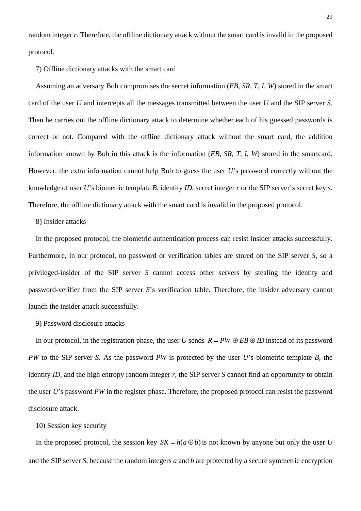random integer *r*. Therefore, the offline dictionary attack without the smart card is invalid in the proposed protocol.

7) Offline dictionary attacks with the smart card

Assuming an adversary Bob compromises the secret information (*EB*, *SR*, *T, I, W*) stored in the smart card of the user *U* and intercepts all the messages transmitted between the user *U* and the SIP server *S*. Then he carries out the offline dictionary attack to determine whether each of his guessed passwords is correct or not. Compared with the offline dictionary attack without the smart card, the addition information known by Bob in this attack is the information (*EB*, *SR*, *T, I, W*) stored in the smartcard. However, the extra information cannot help Bob to guess the user *U*'s password correctly without the knowledge of user *U*'s biometric template *B*, identity *ID*, secret integer *r* or the SIP server's secret key *s*. Therefore, the offline dictionary attack with the smart card is invalid in the proposed protocol.

## 8) Insider attacks

In the proposed protocol, the biometric authentication process can resist insider attacks successfully. Furthermore, in our protocol, no password or verification tables are stored on the SIP server *S*, so a privileged-insider of the SIP server *S* cannot access other servers by stealing the identity and password-verifier from the SIP server *S*'s verification table. Therefore, the insider adversary cannot launch the insider attack successfully.

# 9) Password disclosure attacks

In our protocol, in the registration phase, the user *U* sends  $R = PW \oplus EB \oplus ID$  instead of its password *PW* to the SIP server *S*. As the password *PW* is protected by the user *U*'s biometric template *B*, the identity *ID*, and the high entropy random integer *r*, the SIP server *S* cannot find an opportunity to obtain the user *U*'s password *PW* in the register phase. Therefore, the proposed protocol can resist the password disclosure attack.

# 10) Session key security

In the proposed protocol, the session key  $SK = h(a \oplus b)$  is not known by anyone but only the user *U* and the SIP server *S*, because the random integers *a* and *b* are protected by a secure symmetric encryption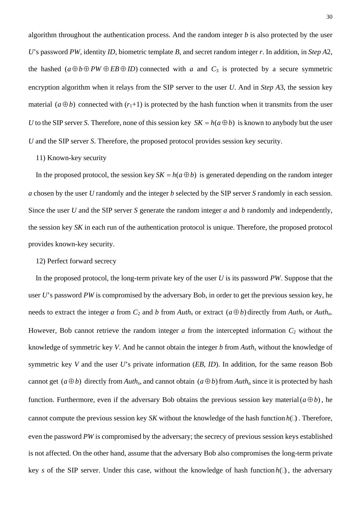algorithm throughout the authentication process. And the random integer *b* is also protected by the user *U*'s password *PW*, identity *ID*, biometric template *B*, and secret random integer *r*. In addition, in *Step A*2, the hashed  $(a \oplus b \oplus PW \oplus EB \oplus ID)$  connected with *a* and  $C_3$  is protected by a secure symmetric encryption algorithm when it relays from the SIP server to the user *U*. And in *Step A*3, the session key material  $(a \oplus b)$  connected with  $(r_1+1)$  is protected by the hash function when it transmits from the user *U* to the SIP server *S*. Therefore, none of this session key  $SK = h(a \oplus b)$  is known to anybody but the user *U* and the SIP server *S*. Therefore, the proposed protocol provides session key security.

# 11) Known-key security

In the proposed protocol, the session key  $SK = h(a \oplus b)$  is generated depending on the random integer *a* chosen by the user *U* randomly and the integer *b* selected by the SIP server *S* randomly in each session. Since the user *U* and the SIP server *S* generate the random integer *a* and *b* randomly and independently, the session key *SK* in each run of the authentication protocol is unique. Therefore, the proposed protocol provides known-key security.

#### 12) Perfect forward secrecy

In the proposed protocol, the long-term private key of the user *U* is its password *PW*. Suppose that the user *U*'s password *PW* is compromised by the adversary Bob, in order to get the previous session key, he needs to extract the integer *a* from  $C_2$  and *b* from *Auth<sub>s</sub>* or extract  $(a \oplus b)$  directly from *Auth<sub>s</sub>* or *Auth<sub>u</sub>*. However, Bob cannot retrieve the random integer *a* from the intercepted information  $C_2$  without the knowledge of symmetric key *V*. And he cannot obtain the integer *b* from *Auths* without the knowledge of symmetric key *V* and the user *U*'s private information (*EB*, *ID*). In addition, for the same reason Bob cannot get  $(a \oplus b)$  directly from  $\text{Aut}h_s$ , and cannot obtain  $(a \oplus b)$  from  $\text{Aut}h_u$  since it is protected by hash function. Furthermore, even if the adversary Bob obtains the previous session key material  $(a \oplus b)$ , he cannot compute the previous session key *SK* without the knowledge of the hash function  $h($   $)$ . Therefore, even the password *PW* is compromised by the adversary; the secrecy of previous session keys established is not affected. On the other hand, assume that the adversary Bob also compromises the long-term private key *s* of the SIP server. Under this case, without the knowledge of hash function  $h($   $)$ , the adversary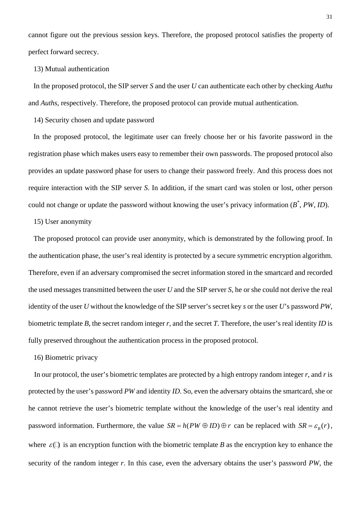cannot figure out the previous session keys. Therefore, the proposed protocol satisfies the property of perfect forward secrecy.

### 13) Mutual authentication

In the proposed protocol, the SIP server *S* and the user *U* can authenticate each other by checking *Authu* and *Auths*, respectively. Therefore, the proposed protocol can provide mutual authentication.

14) Security chosen and update password

In the proposed protocol, the legitimate user can freely choose her or his favorite password in the registration phase which makes users easy to remember their own passwords. The proposed protocol also provides an update password phase for users to change their password freely. And this process does not require interaction with the SIP server *S*. In addition, if the smart card was stolen or lost, other person could not change or update the password without knowing the user's privacy information (*B*\* , *PW*, *ID*).

15) User anonymity

The proposed protocol can provide user anonymity, which is demonstrated by the following proof. In the authentication phase, the user's real identity is protected by a secure symmetric encryption algorithm. Therefore, even if an adversary compromised the secret information stored in the smartcard and recorded the used messages transmitted between the user *U* and the SIP server *S*, he or she could not derive the real identity of the user *U* without the knowledge of the SIP server's secret key *s* or the user *U*'s password *PW*, biometric template *B*, the secret random integer *r*, and the secret *T*. Therefore, the user's real identity *ID* is fully preserved throughout the authentication process in the proposed protocol.

16) Biometric privacy

In our protocol, the user's biometric templates are protected by a high entropy random integer *r*, and *r* is protected by the user's password *PW* and identity *ID*. So, even the adversary obtains the smartcard, she or he cannot retrieve the user's biometric template without the knowledge of the user's real identity and password information. Furthermore, the value  $SR = h(PW \oplus ID) \oplus r$  can be replaced with  $SR = \varepsilon_B(r)$ , where  $\varepsilon$  ( $\Box$ ) is an encryption function with the biometric template *B* as the encryption key to enhance the security of the random integer *r*. In this case, even the adversary obtains the user's password *PW*, the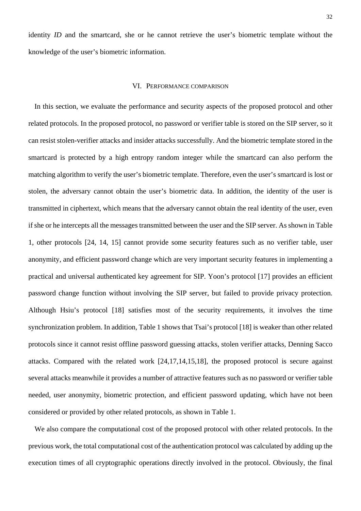identity *ID* and the smartcard, she or he cannot retrieve the user's biometric template without the knowledge of the user's biometric information.

#### VI. PERFORMANCE COMPARISON

In this section, we evaluate the performance and security aspects of the proposed protocol and other related protocols. In the proposed protocol, no password or verifier table is stored on the SIP server, so it can resist stolen-verifier attacks and insider attacks successfully. And the biometric template stored in the smartcard is protected by a high entropy random integer while the smartcard can also perform the matching algorithm to verify the user's biometric template. Therefore, even the user's smartcard is lost or stolen, the adversary cannot obtain the user's biometric data. In addition, the identity of the user is transmitted in ciphertext, which means that the adversary cannot obtain the real identity of the user, even if she or he intercepts all the messages transmitted between the user and the SIP server. As shown in Table 1, other protocols [24, 14, 15] cannot provide some security features such as no verifier table, user anonymity, and efficient password change which are very important security features in implementing a practical and universal authenticated key agreement for SIP. Yoon's protocol [17] provides an efficient password change function without involving the SIP server, but failed to provide privacy protection. Although Hsiu's protocol [18] satisfies most of the security requirements, it involves the time synchronization problem. In addition, Table 1 shows that Tsai's protocol [18] is weaker than other related protocols since it cannot resist offline password guessing attacks, stolen verifier attacks, Denning Sacco attacks. Compared with the related work [24,17,14,15,18], the proposed protocol is secure against several attacks meanwhile it provides a number of attractive features such as no password or verifier table needed, user anonymity, biometric protection, and efficient password updating, which have not been considered or provided by other related protocols, as shown in Table 1.

We also compare the computational cost of the proposed protocol with other related protocols. In the previous work, the total computational cost of the authentication protocol was calculated by adding up the execution times of all cryptographic operations directly involved in the protocol. Obviously, the final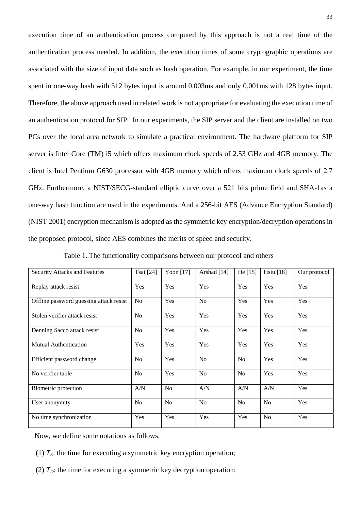execution time of an authentication process computed by this approach is not a real time of the authentication process needed. In addition, the execution times of some cryptographic operations are associated with the size of input data such as hash operation. For example, in our experiment, the time spent in one-way hash with 512 bytes input is around 0.003ms and only 0.001ms with 128 bytes input. Therefore, the above approach used in related work is not appropriate for evaluating the execution time of an authentication protocol for SIP. In our experiments, the SIP server and the client are installed on two PCs over the local area network to simulate a practical environment. The hardware platform for SIP server is Intel Core (TM) i5 which offers maximum clock speeds of 2.53 GHz and 4GB memory. The client is Intel Pentium G630 processor with 4GB memory which offers maximum clock speeds of 2.7 GHz. Furthermore, a NIST/SECG-standard elliptic curve over a 521 bits prime field and SHA-1as a one-way hash function are used in the experiments. And a 256-bit AES (Advance Encryption Standard) (NIST 2001) encryption mechanism is adopted as the symmetric key encryption/decryption operations in the proposed protocol, since AES combines the merits of speed and security.

Table 1. The functionality comparisons between our protocol and others

| <b>Security Attacks and Features</b>    | Tsai [24]      | Yoon $[17]$ | Arshad $[14]$  | He $[15]$ | <b>Hsiu</b> [18] | Our protocol |
|-----------------------------------------|----------------|-------------|----------------|-----------|------------------|--------------|
| Replay attack resist                    | Yes            | Yes         | Yes            | Yes       | Yes              | Yes          |
| Offline password guessing attack resist | N <sub>o</sub> | Yes         | N <sub>0</sub> | Yes       | Yes              | Yes          |
| Stolen verifier attack resist           | N <sub>o</sub> | Yes         | Yes            | Yes       | Yes              | Yes          |
| Denning Sacco attack resist             | N <sub>o</sub> | Yes         | Yes            | Yes       | Yes              | Yes          |
| <b>Mutual Authentication</b>            | Yes            | Yes         | Yes            | Yes       | Yes              | Yes          |
| Efficient password change               | N <sub>o</sub> | Yes         | N <sub>o</sub> | <b>No</b> | Yes              | Yes          |
| No verifier table                       | N <sub>o</sub> | Yes         | N <sub>o</sub> | <b>No</b> | Yes              | Yes          |
| <b>Biometric</b> protection             | A/N            | No          | A/N            | A/N       | A/N              | Yes          |
| User anonymity                          | No             | No          | N <sub>o</sub> | No        | No               | Yes          |
| No time synchronization                 | Yes            | Yes         | Yes            | Yes       | N <sub>o</sub>   | Yes          |

Now, we define some notations as follows:

- (1)  $T_E$ : the time for executing a symmetric key encryption operation;
- (2)  $T_D$ : the time for executing a symmetric key decryption operation;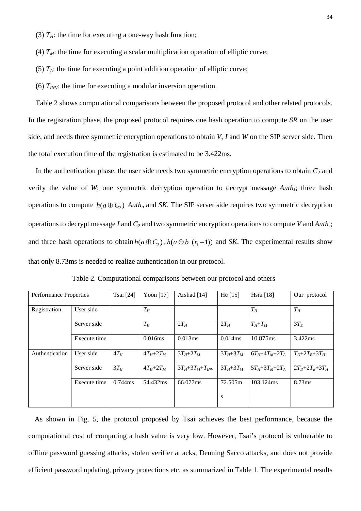- (3)  $T_H$ : the time for executing a one-way hash function;
- (4)  $T_M$ : the time for executing a scalar multiplication operation of elliptic curve;
- (5)  $T_A$ : the time for executing a point addition operation of elliptic curve;
- (6)  $T_{\text{INV}}$ : the time for executing a modular inversion operation.

Table 2 shows computational comparisons between the proposed protocol and other related protocols. In the registration phase, the proposed protocol requires one hash operation to compute *SR* on the user side, and needs three symmetric encryption operations to obtain *V*, *I* and *W* on the SIP server side. Then the total execution time of the registration is estimated to be 3.422ms.

In the authentication phase, the user side needs two symmetric encryption operations to obtain  $C_2$  and verify the value of *W*; one symmetric decryption operation to decrypt message *Auth<sub>s</sub>*; three hash operations to compute  $h(a \oplus C_3)$  *Auth<sub>u</sub>* and *SK*. The SIP server side requires two symmetric decryption operations to decrypt message *I* and  $C_2$  and two symmetric encryption operations to compute *V* and *Auth<sub>s</sub>*; and three hash operations to obtain  $h(a \oplus C_3)$ ,  $h(a \oplus b \| (r_1 + 1))$  and *SK*. The experimental results show that only 8.73ms is needed to realize authentication in our protocol.

| Performance Properties |              | Tsai [24]  | Yoon $[17]$       | Arshad [14]         | He $[15]$       | <b>Hsiu</b> [18]     | Our protocol           |
|------------------------|--------------|------------|-------------------|---------------------|-----------------|----------------------|------------------------|
| Registration           | User side    |            | $T_H$             |                     |                 | $T_H$                | $T_H$                  |
|                        | Server side  |            | $T_H$             | $2T_H$              | $2T_H$          | $T_H+T_M$            | $3T_E$                 |
|                        | Execute time |            | 0.016ms           | 0.013ms             | 0.014ms         | 10.875ms             | 3.422ms                |
| Authentication         | User side    | $4T_H$     | $4T_{H}+2T_{M}$   | $3T_{H}+2T_{M}$     | $3T_{H}+3T_{M}$ | $6T_H + 4T_M + 2T_A$ | $T_D + 2T_E + 3T_H$    |
|                        | Server side  | $3T_H$     | $4T_{H} + 2T_{M}$ | $3T_H+3T_M+T_{INV}$ | $3T_{H}+3T_{M}$ | $5T_H+3T_M+2T_A$     | $2T_{D}+2T_{F}+3T_{H}$ |
|                        | Execute time | $0.744$ ms | 54.432ms          | 66.077 ms           | 72.505m         | 103.124ms            | 8.73ms                 |
|                        |              |            |                   |                     | S               |                      |                        |

Table 2. Computational comparisons between our protocol and others

As shown in Fig. 5, the protocol proposed by Tsai achieves the best performance, because the computational cost of computing a hash value is very low. However, Tsai's protocol is vulnerable to offline password guessing attacks, stolen verifier attacks, Denning Sacco attacks, and does not provide efficient password updating, privacy protections etc, as summarized in Table 1. The experimental results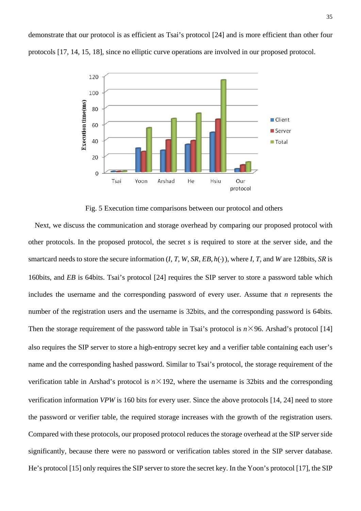

demonstrate that our protocol is as efficient as Tsai's protocol [24] and is more efficient than other four protocols [17, 14, 15, 18], since no elliptic curve operations are involved in our proposed protocol.

Fig. 5 Execution time comparisons between our protocol and others

Next, we discuss the communication and storage overhead by comparing our proposed protocol with other protocols. In the proposed protocol, the secret *s* is required to store at the server side, and the smartcard needs to store the secure information  $(I, T, W, SR, EB, h(\cdot))$ , where  $I, T$ , and  $W$  are 128bits,  $SR$  is 160bits, and *EB* is 64bits. Tsai's protocol [24] requires the SIP server to store a password table which includes the username and the corresponding password of every user. Assume that *n* represents the number of the registration users and the username is 32bits, and the corresponding password is 64bits. Then the storage requirement of the password table in Tsai's protocol is  $n \times 96$ . Arshad's protocol [14] also requires the SIP server to store a high-entropy secret key and a verifier table containing each user's name and the corresponding hashed password. Similar to Tsai's protocol, the storage requirement of the verification table in Arshad's protocol is  $n \times 192$ , where the username is 32bits and the corresponding verification information *VPW* is 160 bits for every user. Since the above protocols [14, 24] need to store the password or verifier table, the required storage increases with the growth of the registration users. Compared with these protocols, our proposed protocol reduces the storage overhead at the SIP server side significantly, because there were no password or verification tables stored in the SIP server database. He's protocol [15] only requires the SIP server to store the secret key. In the Yoon's protocol [17], the SIP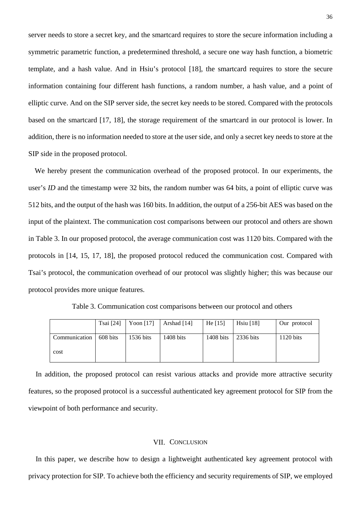server needs to store a secret key, and the smartcard requires to store the secure information including a symmetric parametric function, a predetermined threshold, a secure one way hash function, a biometric template, and a hash value. And in Hsiu's protocol [18], the smartcard requires to store the secure information containing four different hash functions, a random number, a hash value, and a point of elliptic curve. And on the SIP server side, the secret key needs to be stored. Compared with the protocols based on the smartcard [17, 18], the storage requirement of the smartcard in our protocol is lower. In addition, there is no information needed to store at the user side, and only a secret key needs to store at the SIP side in the proposed protocol.

We hereby present the communication overhead of the proposed protocol. In our experiments, the user's *ID* and the timestamp were 32 bits, the random number was 64 bits, a point of elliptic curve was 512 bits, and the output of the hash was 160 bits. In addition, the output of a 256-bit AES was based on the input of the plaintext. The communication cost comparisons between our protocol and others are shown in Table 3. In our proposed protocol, the average communication cost was 1120 bits. Compared with the protocols in [14, 15, 17, 18], the proposed protocol reduced the communication cost. Compared with Tsai's protocol, the communication overhead of our protocol was slightly higher; this was because our protocol provides more unique features.

|               | Tsai [24] | Yoon $[17]$ | Arshad [14] | He $[15]$           | Hsiu $[18]$ | Our protocol        |
|---------------|-----------|-------------|-------------|---------------------|-------------|---------------------|
| Communication | 608 bits  | 1536 bits   | $1408$ bits | $1408 \text{ bits}$ | 2336 bits   | $1120 \text{ bits}$ |
| cost          |           |             |             |                     |             |                     |

Table 3. Communication cost comparisons between our protocol and others

In addition, the proposed protocol can resist various attacks and provide more attractive security features, so the proposed protocol is a successful authenticated key agreement protocol for SIP from the viewpoint of both performance and security.

#### VII. CONCLUSION

In this paper, we describe how to design a lightweight authenticated key agreement protocol with privacy protection for SIP. To achieve both the efficiency and security requirements of SIP, we employed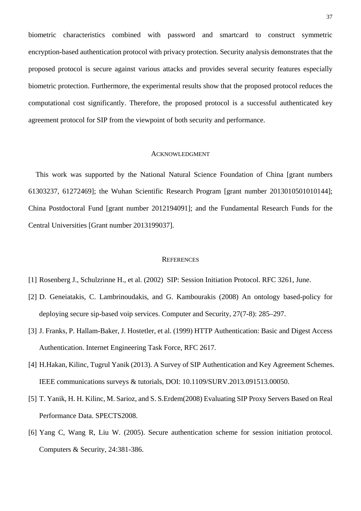biometric characteristics combined with password and smartcard to construct symmetric encryption-based authentication protocol with privacy protection. Security analysis demonstrates that the proposed protocol is secure against various attacks and provides several security features especially biometric protection. Furthermore, the experimental results show that the proposed protocol reduces the computational cost significantly. Therefore, the proposed protocol is a successful authenticated key agreement protocol for SIP from the viewpoint of both security and performance.

#### ACKNOWLEDGMENT

This work was supported by the National Natural Science Foundation of China [grant numbers 61303237, 61272469]; the Wuhan Scientific Research Program [grant number 2013010501010144]; China Postdoctoral Fund [grant number 2012194091]; and the Fundamental Research Funds for the Central Universities [Grant number 2013199037].

## **REFERENCES**

- [1] Rosenberg J., Schulzrinne H., et al. (2002) SIP: Session Initiation Protocol. RFC 3261, June.
- [2] D. Geneiatakis, C. Lambrinoudakis, and G. Kambourakis (2008) An ontology based-policy for deploying secure sip-based voip services. Computer and Security, 27(7-8): 285–297.
- [3] J. Franks, P. Hallam-Baker, J. Hostetler, et al. (1999) HTTP Authentication: Basic and Digest Access Authentication. Internet Engineering Task Force, RFC 2617.
- [4] H.Hakan, Kilinc, Tugrul Yanik (2013). A Survey of SIP Authentication and Key Agreement Schemes. IEEE communications surveys & tutorials, DOI: 10.1109/SURV.2013.091513.00050.
- [5] T. Yanik, H. H. Kilinc, M. Sarioz, and S. S.Erdem(2008) Evaluating SIP Proxy Servers Based on Real Performance Data. SPECTS2008.
- [6] Yang C, Wang R, Liu W. (2005). Secure authentication scheme for session initiation protocol. Computers & Security, 24:381-386.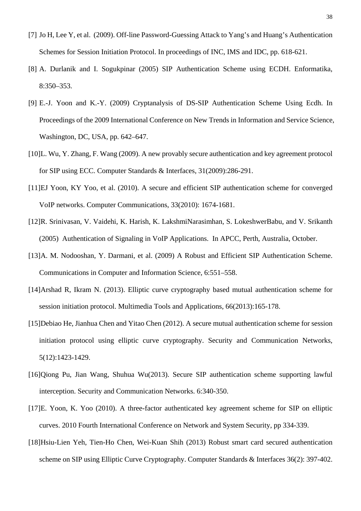- [7] Jo H, Lee Y, et al. (2009). Off-line Password-Guessing Attack to Yang's and Huang's Authentication Schemes for Session Initiation Protocol. In proceedings of INC, IMS and IDC, pp. 618-621.
- [8] A. Durlanik and I. Sogukpinar (2005) SIP Authentication Scheme using ECDH. Enformatika, 8:350–353.
- [9] E.-J. Yoon and K.-Y. (2009) Cryptanalysis of DS-SIP Authentication Scheme Using Ecdh. In Proceedings of the 2009 International Conference on New Trends in Information and Service Science, Washington, DC, USA, pp. 642–647.
- [10]L. Wu, Y. Zhang, F. Wang (2009). A new provably secure authentication and key agreement protocol for SIP using ECC. Computer Standards & Interfaces, 31(2009):286-291.
- [11]EJ Yoon, KY Yoo, et al. (2010). A secure and efficient SIP authentication scheme for converged VoIP networks. Computer Communications, 33(2010): 1674-1681.
- [12]R. Srinivasan, V. Vaidehi, K. Harish, K. LakshmiNarasimhan, S. LokeshwerBabu, and V. Srikanth (2005) Authentication of Signaling in VoIP Applications. In APCC, Perth, Australia, October.
- [13]A. M. Nodooshan, Y. Darmani, et al. (2009) A Robust and Efficient SIP Authentication Scheme. Communications in Computer and Information Science, 6:551–558.
- [14]Arshad R, Ikram N. (2013). Elliptic curve cryptography based mutual authentication scheme for session initiation protocol. Multimedia Tools and Applications, 66(2013):165-178.
- [15]Debiao He, Jianhua Chen and Yitao Chen (2012). A secure mutual authentication scheme for session initiation protocol using elliptic curve cryptography. Security and Communication Networks, 5(12):1423-1429.
- [16]Qiong Pu, Jian Wang, Shuhua Wu(2013). Secure SIP authentication scheme supporting lawful interception. Security and Communication Networks. 6:340-350.
- [17]E. Yoon, K. Yoo (2010). A three-factor authenticated key agreement scheme for SIP on elliptic curves. 2010 Fourth International Conference on Network and System Security, pp 334-339.
- [18]Hsiu-Lien Yeh, Tien-Ho Chen, Wei-Kuan Shih (2013) Robust smart card secured authentication scheme on SIP using Elliptic Curve Cryptography. Computer Standards & Interfaces 36(2): 397-402.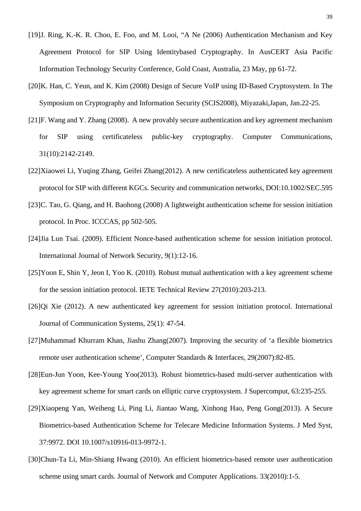- [19]J. Ring, K.-K. R. Choo, E. Foo, and M. Looi, "A Ne (2006) Authentication Mechanism and Key Agreement Protocol for SIP Using Identitybased Cryptography. In AusCERT Asia Pacific Information Technology Security Conference, Gold Coast, Australia, 23 May, pp 61-72.
- [20]K. Han, C. Yeun, and K. Kim (2008) Design of Secure VoIP using ID-Based Cryptosystem. In The Symposium on Cryptography and Information Security (SCIS2008), Miyazaki,Japan, Jan.22-25.
- [21]F. Wang and Y. Zhang (2008). A new provably secure authentication and key agreement mechanism for SIP using certificateless public-key cryptography. Computer Communications, 31(10):2142-2149.
- [22]Xiaowei Li, Yuqing Zhang, Geifei Zhang(2012). A new certificateless authenticated key agreement protocol for SIP with different KGCs. Security and communication networks, DOI:10.1002/SEC.595
- [23]C. Tao, G. Qiang, and H. Baohong (2008) A lightweight authentication scheme for session initiation protocol. In Proc. ICCCAS, pp 502-505.
- [24]Jia Lun Tsai. (2009). Efficient Nonce-based authentication scheme for session initiation protocol. International Journal of Network Security, 9(1):12-16.
- [25]Yoon E, Shin Y, Jeon I, Yoo K. (2010). Robust mutual authentication with a key agreement scheme for the session initiation protocol. IETE Technical Review 27(2010):203-213.
- [26]Qi Xie (2012). A new authenticated key agreement for session initiation protocol. International Journal of Communication Systems, 25(1): 47-54.
- [27]Muhammad Khurram Khan, Jiashu Zhang(2007). Improving the security of 'a flexible biometrics remote user authentication scheme', Computer Standards & Interfaces, 29(2007):82-85.
- [28]Eun-Jun Yoon, Kee-Young Yoo(2013). Robust biometrics-based multi-server authentication with key agreement scheme for smart cards on elliptic curve cryptosystem. J Supercomput, 63:235-255.
- [29]Xiaopeng Yan, Weiheng Li, Ping Li, Jiantao Wang, Xinhong Hao, Peng Gong(2013). A Secure Biometrics-based Authentication Scheme for Telecare Medicine Information Systems. J Med Syst, 37:9972. DOI 10.1007/s10916-013-9972-1.
- [30]Chun-Ta Li, Min-Shiang Hwang (2010). An efficient biometrics-based remote user authentication scheme using smart cards. Journal of Network and Computer Applications. 33(2010):1-5.